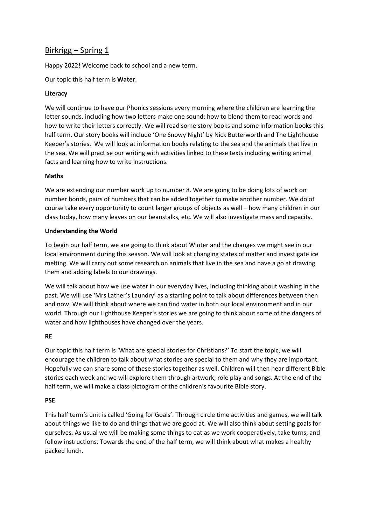# Birkrigg – Spring 1

Happy 2022! Welcome back to school and a new term.

Our topic this half term is **Water**.

## **Literacy**

We will continue to have our Phonics sessions every morning where the children are learning the letter sounds, including how two letters make one sound; how to blend them to read words and how to write their letters correctly. We will read some story books and some information books this half term. Our story books will include 'One Snowy Night' by Nick Butterworth and The Lighthouse Keeper's stories. We will look at information books relating to the sea and the animals that live in the sea. We will practise our writing with activities linked to these texts including writing animal facts and learning how to write instructions.

## **Maths**

We are extending our number work up to number 8. We are going to be doing lots of work on number bonds, pairs of numbers that can be added together to make another number. We do of course take every opportunity to count larger groups of objects as well – how many children in our class today, how many leaves on our beanstalks, etc. We will also investigate mass and capacity.

## **Understanding the World**

To begin our half term, we are going to think about Winter and the changes we might see in our local environment during this season. We will look at changing states of matter and investigate ice melting. We will carry out some research on animals that live in the sea and have a go at drawing them and adding labels to our drawings.

We will talk about how we use water in our everyday lives, including thinking about washing in the past. We will use 'Mrs Lather's Laundry' as a starting point to talk about differences between then and now. We will think about where we can find water in both our local environment and in our world. Through our Lighthouse Keeper's stories we are going to think about some of the dangers of water and how lighthouses have changed over the years.

#### **RE**

Our topic this half term is 'What are special stories for Christians?' To start the topic, we will encourage the children to talk about what stories are special to them and why they are important. Hopefully we can share some of these stories together as well. Children will then hear different Bible stories each week and we will explore them through artwork, role play and songs. At the end of the half term, we will make a class pictogram of the children's favourite Bible story.

# **PSE**

This half term's unit is called 'Going for Goals'. Through circle time activities and games, we will talk about things we like to do and things that we are good at. We will also think about setting goals for ourselves. As usual we will be making some things to eat as we work cooperatively, take turns, and follow instructions. Towards the end of the half term, we will think about what makes a healthy packed lunch.